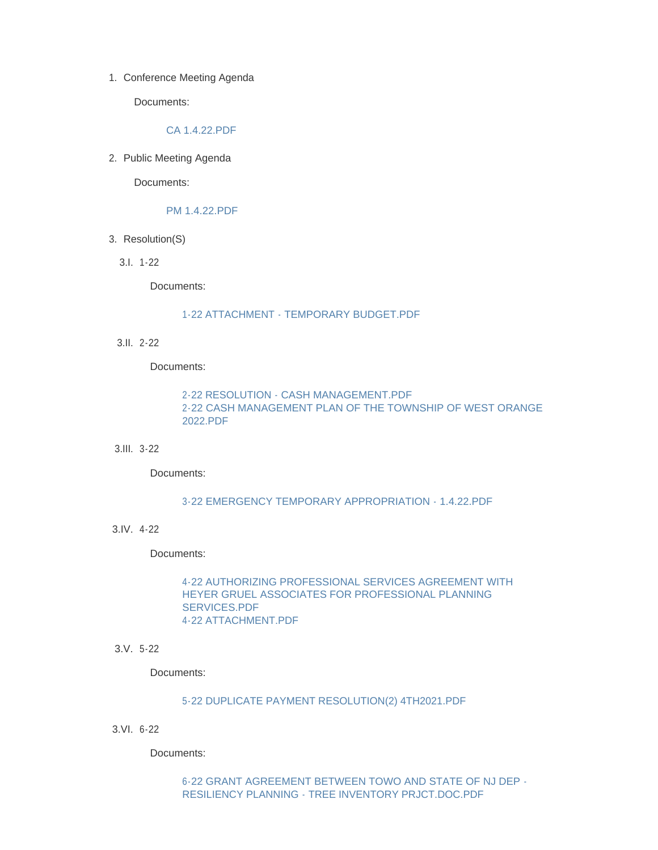1. Conference Meeting Agenda

Documents:

### [CA 1.4.22.PDF](http://www.westorange.org/AgendaCenter/ViewFile/Item/4499?fileID=14273)

2. Public Meeting Agenda

Documents:

### [PM 1.4.22.PDF](http://www.westorange.org/AgendaCenter/ViewFile/Item/4495?fileID=14274)

- 3. Resolution(S)
	- 1-22 3.I.

Documents:

#### [1-22 ATTACHMENT - TEMPORARY BUDGET.PDF](http://www.westorange.org/AgendaCenter/ViewFile/Item/4500?fileID=14243)

2-22 3.II.

Documents:

# [2-22 RESOLUTION - CASH MANAGEMENT.PDF](http://www.westorange.org/AgendaCenter/ViewFile/Item/4501?fileID=14245) [2-22 CASH MANAGEMENT PLAN OF THE TOWNSHIP OF WEST ORANGE](http://www.westorange.org/AgendaCenter/ViewFile/Item/4501?fileID=14244)  2022.PDF

### 3-22 3.III.

Documents:

# [3-22 EMERGENCY TEMPORARY APPROPRIATION - 1.4.22.PDF](http://www.westorange.org/AgendaCenter/ViewFile/Item/4502?fileID=14246)

4-22 3.IV.

Documents:

# [4-22 AUTHORIZING PROFESSIONAL SERVICES AGREEMENT WITH](http://www.westorange.org/AgendaCenter/ViewFile/Item/4503?fileID=14247)  HEYER GRUEL ASSOCIATES FOR PROFESSIONAL PLANNING SERVICES.PDF [4-22 ATTACHMENT.PDF](http://www.westorange.org/AgendaCenter/ViewFile/Item/4503?fileID=14263)

5-22 3.V.

Documents:

#### [5-22 DUPLICATE PAYMENT RESOLUTION\(2\) 4TH2021.PDF](http://www.westorange.org/AgendaCenter/ViewFile/Item/4504?fileID=14248)

6-22 3.VI.

Documents:

[6-22 GRANT AGREEMENT BETWEEN TOWO AND STATE OF NJ DEP -](http://www.westorange.org/AgendaCenter/ViewFile/Item/4505?fileID=14249) RESILIENCY PLANNING - TREE INVENTORY PRJCT.DOC.PDF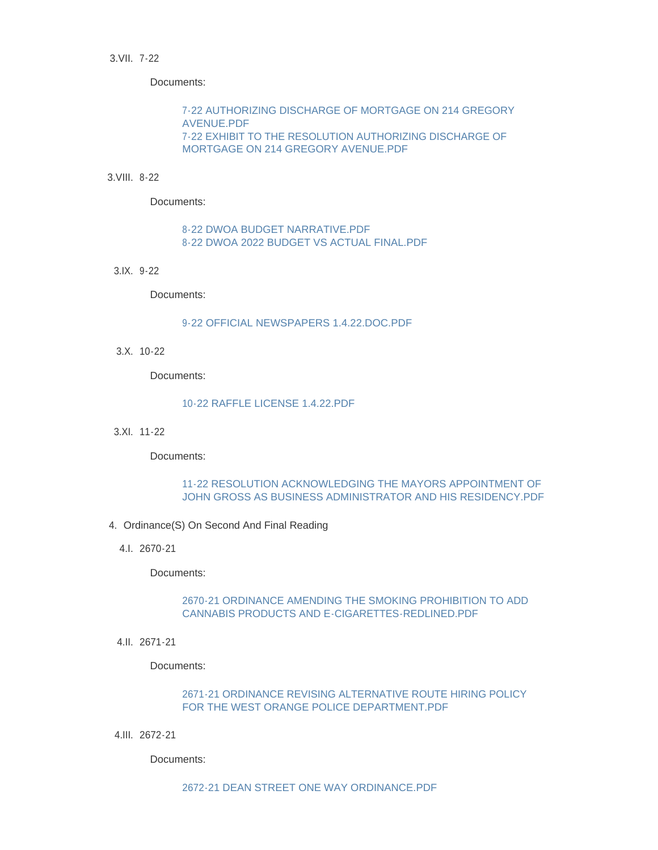3.VII. 7-22

Documents:

[7-22 AUTHORIZING DISCHARGE OF MORTGAGE ON 214 GREGORY](http://www.westorange.org/AgendaCenter/ViewFile/Item/4506?fileID=14250)  AVENUE.PDF [7-22 EXHIBIT TO THE RESOLUTION AUTHORIZING DISCHARGE OF](http://www.westorange.org/AgendaCenter/ViewFile/Item/4506?fileID=14251)  MORTGAGE ON 214 GREGORY AVENUE.PDF

#### 8-22 3.VIII.

Documents:

# [8-22 DWOA BUDGET NARRATIVE.PDF](http://www.westorange.org/AgendaCenter/ViewFile/Item/4507?fileID=14253) [8-22 DWOA 2022 BUDGET VS ACTUAL FINAL.PDF](http://www.westorange.org/AgendaCenter/ViewFile/Item/4507?fileID=14252)

9-22 3.IX.

Documents:

#### [9-22 OFFICIAL NEWSPAPERS 1.4.22.DOC.PDF](http://www.westorange.org/AgendaCenter/ViewFile/Item/4508?fileID=14254)

10-22 3.X.

Documents:

### [10-22 RAFFLE LICENSE 1.4.22.PDF](http://www.westorange.org/AgendaCenter/ViewFile/Item/4509?fileID=14255)

11-22 3.XI.

Documents:

# 11-22 RESOLUTION ACKNOWLEDGING THE MAYORS APPOINTMENT OF [JOHN GROSS AS BUSINESS ADMINISTRATOR AND HIS RESIDENCY.PDF](http://www.westorange.org/AgendaCenter/ViewFile/Item/4510?fileID=14256)

- 4. Ordinance(S) On Second And Final Reading
	- 2670-21 4.I.

Documents:

# [2670-21 ORDINANCE AMENDING THE SMOKING PROHIBITION TO ADD](http://www.westorange.org/AgendaCenter/ViewFile/Item/4513?fileID=14259)  CANNABIS PRODUCTS AND E-CIGARETTES-REDLINED.PDF

2671-21 4.II.

Documents:

# [2671-21 ORDINANCE REVISING ALTERNATIVE ROUTE HIRING POLICY](http://www.westorange.org/AgendaCenter/ViewFile/Item/4514?fileID=14260)  FOR THE WEST ORANGE POLICE DEPARTMENT.PDF

2672-21 4.III.

Documents: